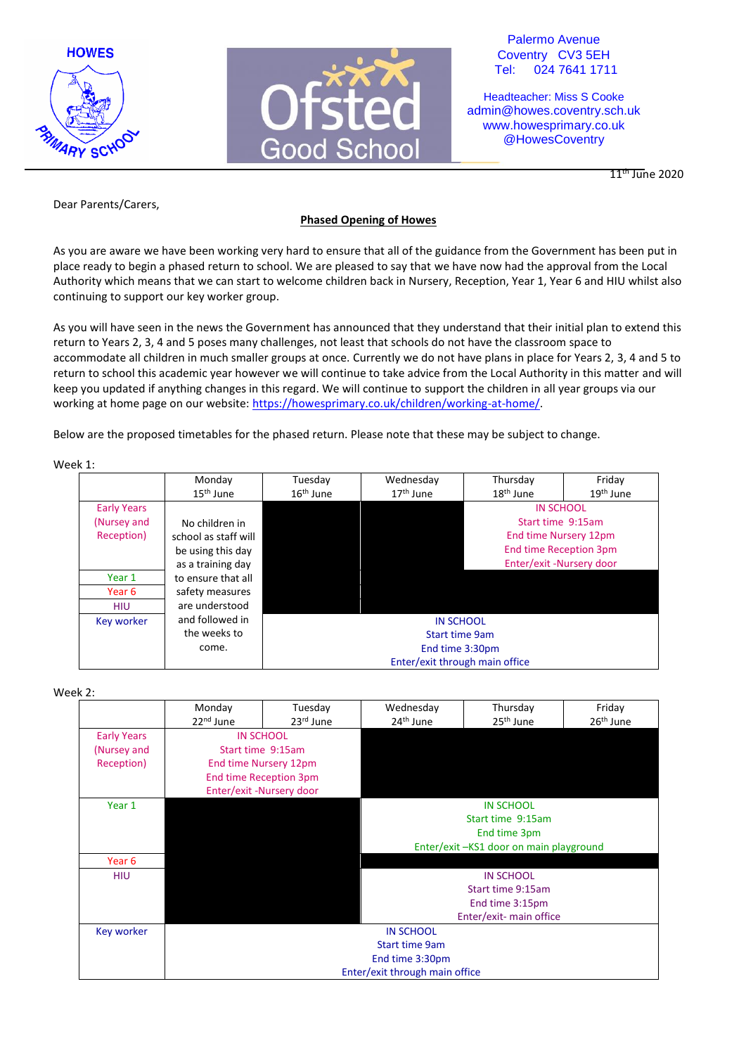



Palermo Avenue Coventry CV3 5EH Tel: 024 7641 1711

Headteacher: Miss S Cooke admin@howes.coventry.sch.uk www.howesprimary.co.uk @HowesCoventry

 $11^{\text{th}}$  June 2020

Dear Parents/Carers,

## **Phased Opening of Howes**

As you are aware we have been working very hard to ensure that all of the guidance from the Government has been put in place ready to begin a phased return to school. We are pleased to say that we have now had the approval from the Local Authority which means that we can start to welcome children back in Nursery, Reception, Year 1, Year 6 and HIU whilst also continuing to support our key worker group.

As you will have seen in the news the Government has announced that they understand that their initial plan to extend this return to Years 2, 3, 4 and 5 poses many challenges, not least that schools do not have the classroom space to accommodate all children in much smaller groups at once. Currently we do not have plans in place for Years 2, 3, 4 and 5 to return to school this academic year however we will continue to take advice from the Local Authority in this matter and will keep you updated if anything changes in this regard. We will continue to support the children in all year groups via our working at home page on our website[: https://howesprimary.co.uk/children/working-at-home/.](https://howesprimary.co.uk/children/working-at-home/)

Below are the proposed timetables for the phased return. Please note that these may be subject to change.

Week 1:

|                    | Monday<br>15 <sup>th</sup> June | Tuesday<br>$16th$ June | Wednesday<br>17 <sup>th</sup> June | Thursday<br>18 <sup>th</sup> June | Friday<br>19 <sup>th</sup> June |
|--------------------|---------------------------------|------------------------|------------------------------------|-----------------------------------|---------------------------------|
| <b>Early Years</b> |                                 |                        |                                    | <b>IN SCHOOL</b>                  |                                 |
| (Nursey and        | No children in                  |                        |                                    | Start time 9:15am                 |                                 |
| Reception)         | school as staff will            |                        |                                    | End time Nursery 12pm             |                                 |
|                    | be using this day               |                        |                                    | <b>End time Reception 3pm</b>     |                                 |
|                    | as a training day               |                        |                                    | Enter/exit -Nursery door          |                                 |
| Year 1             | to ensure that all              |                        |                                    |                                   |                                 |
| Year 6             | safety measures                 |                        |                                    |                                   |                                 |
| <b>HIU</b>         | are understood                  |                        |                                    |                                   |                                 |
| Key worker         | and followed in                 |                        | <b>IN SCHOOL</b>                   |                                   |                                 |
|                    | the weeks to                    |                        | <b>Start time 9am</b>              |                                   |                                 |
|                    | come.                           |                        | End time 3:30pm                    |                                   |                                 |
|                    |                                 |                        | Enter/exit through main office     |                                   |                                 |

Week 2:

|                    | Monday<br>22 <sup>nd</sup> June | Tuesday<br>23rd June                   | Wednesday<br>24 <sup>th</sup> June                | Thursday<br>25 <sup>th</sup> June | Friday<br>26 <sup>th</sup> June |  |
|--------------------|---------------------------------|----------------------------------------|---------------------------------------------------|-----------------------------------|---------------------------------|--|
| <b>Early Years</b> | <b>IN SCHOOL</b>                |                                        |                                                   |                                   |                                 |  |
| (Nursey and        |                                 | Start time 9:15am                      |                                                   |                                   |                                 |  |
| Reception)         |                                 | End time Nursery 12pm                  |                                                   |                                   |                                 |  |
|                    | End time Reception 3pm          |                                        |                                                   |                                   |                                 |  |
|                    |                                 | Enter/exit -Nursery door               |                                                   |                                   |                                 |  |
| Year 1             |                                 |                                        | <b>IN SCHOOL</b>                                  |                                   |                                 |  |
|                    |                                 |                                        | Start time 9:15am                                 |                                   |                                 |  |
|                    |                                 |                                        | End time 3pm                                      |                                   |                                 |  |
|                    |                                 | Enter/exit-KS1 door on main playground |                                                   |                                   |                                 |  |
| Year <sub>6</sub>  |                                 |                                        |                                                   |                                   |                                 |  |
| <b>HIU</b>         |                                 |                                        | <b>IN SCHOOL</b>                                  |                                   |                                 |  |
|                    |                                 |                                        | Start time 9:15am                                 |                                   |                                 |  |
|                    |                                 |                                        | End time 3:15pm                                   |                                   |                                 |  |
|                    |                                 |                                        | Enter/exit- main office                           |                                   |                                 |  |
| Key worker         | <b>IN SCHOOL</b>                |                                        |                                                   |                                   |                                 |  |
|                    | <b>Start time 9am</b>           |                                        |                                                   |                                   |                                 |  |
|                    |                                 |                                        | End time 3:30pm<br>Enter/exit through main office |                                   |                                 |  |
|                    |                                 |                                        |                                                   |                                   |                                 |  |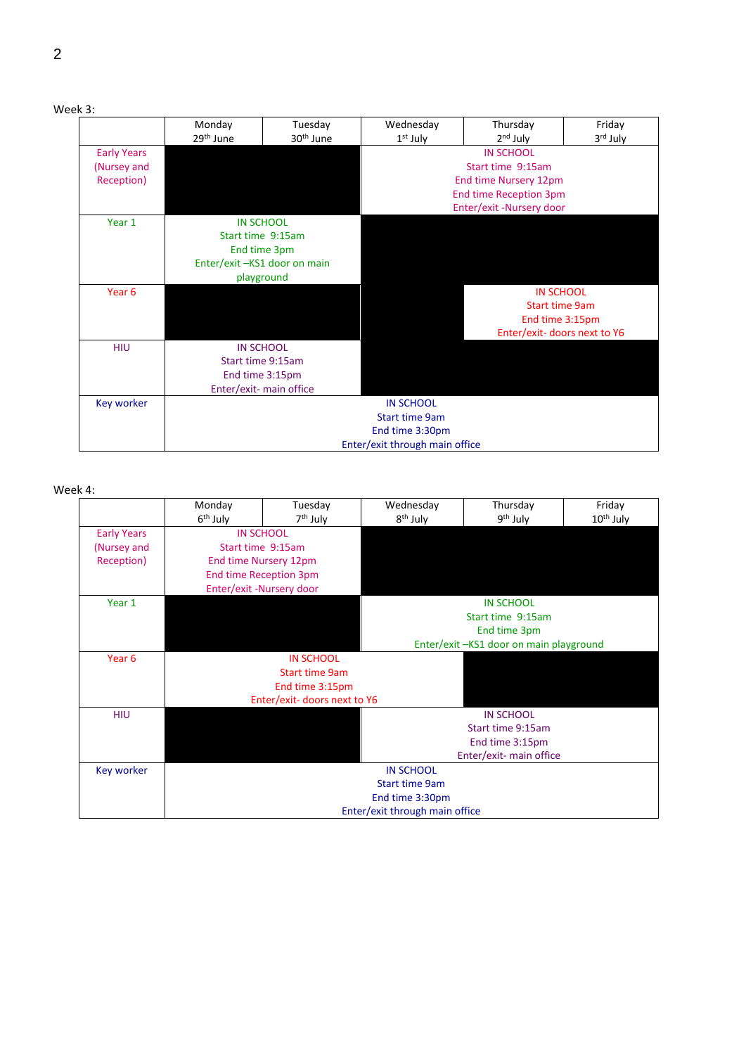| Week |  |
|------|--|
|------|--|

|                    | Monday                         | Tuesday                     | Wednesday                   | Thursday                 | Friday   |  |
|--------------------|--------------------------------|-----------------------------|-----------------------------|--------------------------|----------|--|
|                    | 29 <sup>th</sup> June          | 30 <sup>th</sup> June       | $1st$ July                  | $2nd$ July               | 3rd July |  |
| <b>Early Years</b> |                                |                             |                             | <b>IN SCHOOL</b>         |          |  |
| (Nursey and        | Start time 9:15am              |                             |                             |                          |          |  |
| Reception)         |                                |                             |                             | End time Nursery 12pm    |          |  |
|                    |                                |                             |                             | End time Reception 3pm   |          |  |
|                    |                                |                             |                             | Enter/exit -Nursery door |          |  |
| Year 1             |                                | <b>IN SCHOOL</b>            |                             |                          |          |  |
|                    |                                | Start time 9:15am           |                             |                          |          |  |
|                    | End time 3pm                   |                             |                             |                          |          |  |
|                    |                                | Enter/exit-KS1 door on main |                             |                          |          |  |
|                    | playground                     |                             |                             |                          |          |  |
| Year <sub>6</sub>  |                                |                             | <b>IN SCHOOL</b>            |                          |          |  |
|                    |                                |                             | <b>Start time 9am</b>       |                          |          |  |
|                    |                                |                             | End time 3:15pm             |                          |          |  |
|                    |                                |                             | Enter/exit-doors next to Y6 |                          |          |  |
| <b>HIU</b>         |                                | <b>IN SCHOOL</b>            |                             |                          |          |  |
|                    | Start time 9:15am              |                             |                             |                          |          |  |
|                    |                                | End time 3:15pm             |                             |                          |          |  |
|                    |                                | Enter/exit- main office     |                             |                          |          |  |
| <b>Key worker</b>  | <b>IN SCHOOL</b>               |                             |                             |                          |          |  |
|                    |                                | <b>Start time 9am</b>       |                             |                          |          |  |
|                    |                                |                             | End time 3:30pm             |                          |          |  |
|                    | Enter/exit through main office |                             |                             |                          |          |  |

# Week 4:

|                    | Monday                         | Tuesday                     | Wednesday                              | Thursday                | Friday                |  |
|--------------------|--------------------------------|-----------------------------|----------------------------------------|-------------------------|-----------------------|--|
|                    | 6 <sup>th</sup> July           | 7 <sup>th</sup> July        | 8 <sup>th</sup> July                   | 9 <sup>th</sup> July    | 10 <sup>th</sup> July |  |
| <b>Early Years</b> | <b>IN SCHOOL</b>               |                             |                                        |                         |                       |  |
| (Nursey and        | Start time 9:15am              |                             |                                        |                         |                       |  |
| Reception)         | End time Nursery 12pm          |                             |                                        |                         |                       |  |
|                    | <b>End time Reception 3pm</b>  |                             |                                        |                         |                       |  |
|                    |                                | Enter/exit -Nursery door    |                                        |                         |                       |  |
| Year 1             |                                |                             |                                        | <b>IN SCHOOL</b>        |                       |  |
|                    |                                |                             |                                        | Start time 9:15am       |                       |  |
|                    |                                |                             | End time 3pm                           |                         |                       |  |
|                    |                                |                             | Enter/exit-KS1 door on main playground |                         |                       |  |
| Year <sub>6</sub>  |                                | <b>IN SCHOOL</b>            |                                        |                         |                       |  |
|                    |                                | <b>Start time 9am</b>       |                                        |                         |                       |  |
|                    | End time 3:15pm                |                             |                                        |                         |                       |  |
|                    |                                | Enter/exit-doors next to Y6 |                                        |                         |                       |  |
| <b>HIU</b>         |                                |                             |                                        | <b>IN SCHOOL</b>        |                       |  |
|                    |                                |                             |                                        | Start time 9:15am       |                       |  |
|                    |                                |                             |                                        | End time 3:15pm         |                       |  |
|                    |                                |                             |                                        | Enter/exit- main office |                       |  |
| Key worker         |                                |                             | <b>IN SCHOOL</b>                       |                         |                       |  |
|                    |                                |                             | <b>Start time 9am</b>                  |                         |                       |  |
|                    |                                |                             | End time 3:30pm                        |                         |                       |  |
|                    | Enter/exit through main office |                             |                                        |                         |                       |  |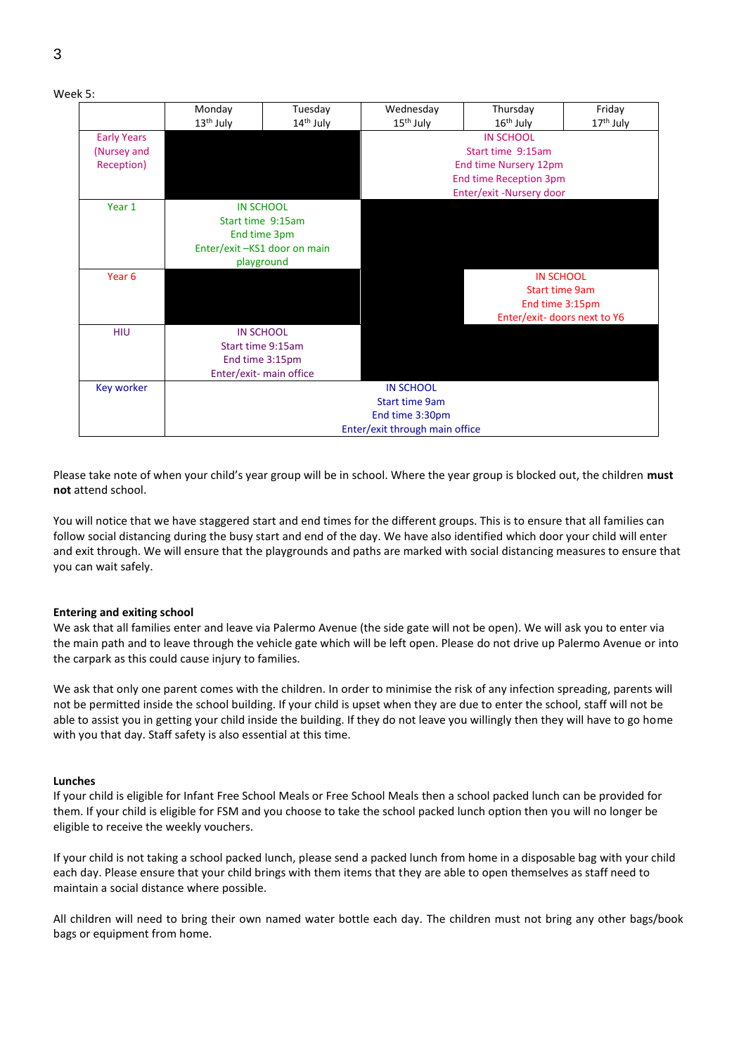|                    | Monday                  | Tuesday                     | Wednesday                                 | Thursday                      | Friday                |  |
|--------------------|-------------------------|-----------------------------|-------------------------------------------|-------------------------------|-----------------------|--|
|                    | 13 <sup>th</sup> July   | 14 <sup>th</sup> July       | $15th$ July                               | $16th$ July                   | 17 <sup>th</sup> July |  |
| <b>Early Years</b> |                         |                             |                                           | <b>IN SCHOOL</b>              |                       |  |
| (Nursey and        |                         |                             | Start time 9:15am                         |                               |                       |  |
| Reception)         |                         |                             |                                           | End time Nursery 12pm         |                       |  |
|                    |                         |                             |                                           | <b>End time Reception 3pm</b> |                       |  |
|                    |                         |                             |                                           | Enter/exit -Nursery door      |                       |  |
| Year 1             | <b>IN SCHOOL</b>        |                             |                                           |                               |                       |  |
|                    | Start time 9:15am       |                             |                                           |                               |                       |  |
|                    | End time 3pm            |                             |                                           |                               |                       |  |
|                    |                         | Enter/exit-KS1 door on main |                                           |                               |                       |  |
|                    | playground              |                             |                                           |                               |                       |  |
| Year 6             |                         |                             | <b>IN SCHOOL</b>                          |                               |                       |  |
|                    |                         |                             | <b>Start time 9am</b>                     |                               |                       |  |
|                    |                         |                             | End time 3:15pm                           |                               |                       |  |
|                    |                         |                             | Enter/exit- doors next to Y6              |                               |                       |  |
| <b>HIU</b>         | <b>IN SCHOOL</b>        |                             |                                           |                               |                       |  |
|                    | Start time 9:15am       |                             |                                           |                               |                       |  |
|                    | End time 3:15pm         |                             |                                           |                               |                       |  |
|                    | Enter/exit- main office |                             |                                           |                               |                       |  |
| <b>Key worker</b>  |                         |                             | <b>IN SCHOOL</b><br><b>Start time 9am</b> |                               |                       |  |
|                    |                         |                             |                                           |                               |                       |  |
|                    |                         |                             | End time 3:30pm                           |                               |                       |  |
|                    |                         |                             | Enter/exit through main office            |                               |                       |  |

Please take note of when your child's year group will be in school. Where the year group is blocked out, the children **must not** attend school.

You will notice that we have staggered start and end times for the different groups. This is to ensure that all families can follow social distancing during the busy start and end of the day. We have also identified which door your child will enter and exit through. We will ensure that the playgrounds and paths are marked with social distancing measures to ensure that you can wait safely.

#### **Entering and exiting school**

We ask that all families enter and leave via Palermo Avenue (the side gate will not be open). We will ask you to enter via the main path and to leave through the vehicle gate which will be left open. Please do not drive up Palermo Avenue or into the carpark as this could cause injury to families.

We ask that only one parent comes with the children. In order to minimise the risk of any infection spreading, parents will not be permitted inside the school building. If your child is upset when they are due to enter the school, staff will not be able to assist you in getting your child inside the building. If they do not leave you willingly then they will have to go home with you that day. Staff safety is also essential at this time.

#### **Lunches**

If your child is eligible for Infant Free School Meals or Free School Meals then a school packed lunch can be provided for them. If your child is eligible for FSM and you choose to take the school packed lunch option then you will no longer be eligible to receive the weekly vouchers.

If your child is not taking a school packed lunch, please send a packed lunch from home in a disposable bag with your child each day. Please ensure that your child brings with them items that they are able to open themselves as staff need to maintain a social distance where possible.

All children will need to bring their own named water bottle each day. The children must not bring any other bags/book bags or equipment from home.

Week 5: